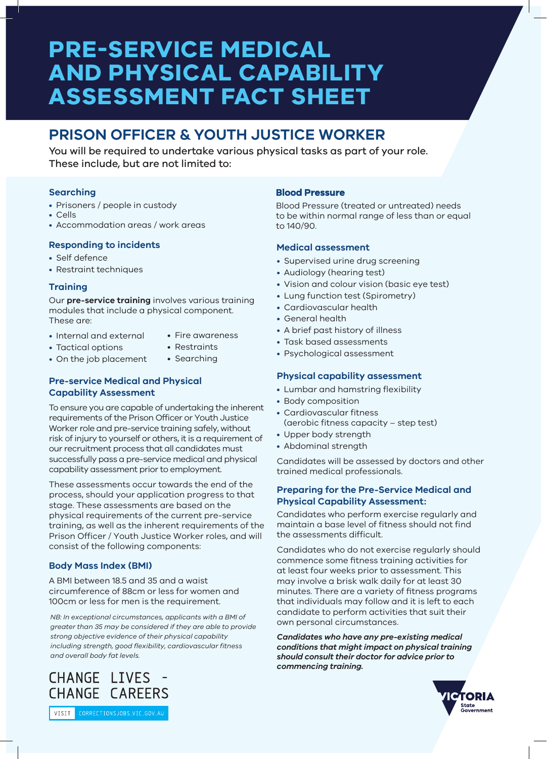# **PRE-SERVICE MEDICAL AND PHYSICAL CAPABILITY ASSESSMENT FACT SHEET**

# **PRISON OFFICER & YOUTH JUSTICE WORKER**

You will be required to undertake various physical tasks as part of your role. These include, but are not limited to:

# **Searching**

- Prisoners / people in custody
- Cells
- Accommodation areas / work areas

# **Responding to incidents**

- Self defence
- Restraint techniques

# **Training**

Our **pre-service training** involves various training modules that include a physical component. These are:

- Internal and external
- Fire awareness
- Tactical options
- Restraints • Searching
- On the job placement

# **Pre-service Medical and Physical Capability Assessment**

To ensure you are capable of undertaking the inherent requirements of the Prison Officer or Youth Justice Worker role and pre-service training safely, without risk of injury to yourself or others, it is a requirement of our recruitment process that all candidates must successfully pass a pre-service medical and physical capability assessment prior to employment.

These assessments occur towards the end of the process, should your application progress to that stage. These assessments are based on the physical requirements of the current pre-service training, as well as the inherent requirements of the Prison Officer / Youth Justice Worker roles, and will consist of the following components:

# **Body Mass Index (BMI)**

A BMI between 18.5 and 35 and a waist circumference of 88cm or less for women and 100cm or less for men is the requirement.

*NB: In exceptional circumstances, applicants with a BMI of greater than 35 may be considered if they are able to provide strong objective evidence of their physical capability including strength, good flexibility, cardiovascular fitness and overall body fat levels.*

# **Blood Pressure**

Blood Pressure (treated or untreated) needs to be within normal range of less than or equal to 140/90.

# **Medical assessment**

- Supervised urine drug screening
- Audiology (hearing test)
- Vision and colour vision (basic eye test)
- Lung function test (Spirometry)
- Cardiovascular health
- General health
- A brief past history of illness
- Task based assessments
- Psychological assessment

# **Physical capability assessment**

- Lumbar and hamstring flexibility
- Body composition
- Cardiovascular fitness (aerobic fitness capacity – step test)
- Upper body strength
- Abdominal strength

Candidates will be assessed by doctors and other trained medical professionals.

#### **Preparing for the Pre-Service Medical and Physical Capability Assessment:**

Candidates who perform exercise regularly and maintain a base level of fitness should not find the assessments difficult.

Candidates who do not exercise regularly should commence some fitness training activities for at least four weeks prior to assessment. This may involve a brisk walk daily for at least 30 minutes. There are a variety of fitness programs that individuals may follow and it is left to each candidate to perform activities that suit their own personal circumstances.

*Candidates who have any pre-existing medical conditions that might impact on physical training should consult their doctor for advice prior to commencing training.*



CHANGE LIVES CHANGE CAREERS